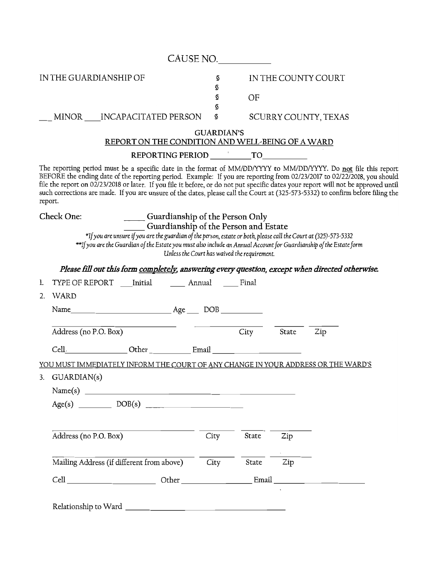|                        |                       |                                                                                                                                                                                                                                                                                                                                                                                                                                                                                                                     |                   | CAUSE NO.                                    |       |                      |  |
|------------------------|-----------------------|---------------------------------------------------------------------------------------------------------------------------------------------------------------------------------------------------------------------------------------------------------------------------------------------------------------------------------------------------------------------------------------------------------------------------------------------------------------------------------------------------------------------|-------------------|----------------------------------------------|-------|----------------------|--|
| IN THE GUARDIANSHIP OF |                       |                                                                                                                                                                                                                                                                                                                                                                                                                                                                                                                     | S<br>S<br>s       | OF                                           |       | IN THE COUNTY COURT  |  |
|                        |                       | MINOR INCAPACITATED PERSON                                                                                                                                                                                                                                                                                                                                                                                                                                                                                          | S<br>\$           |                                              |       | SCURRY COUNTY, TEXAS |  |
|                        |                       | REPORT ON THE CONDITION AND WELL-BEING OF A WARD                                                                                                                                                                                                                                                                                                                                                                                                                                                                    | <b>GUARDIAN'S</b> |                                              |       |                      |  |
|                        |                       |                                                                                                                                                                                                                                                                                                                                                                                                                                                                                                                     |                   |                                              |       |                      |  |
| report.                |                       | The reporting period must be a specific date in the format of MM/DD/YYYY to MM/DD/YYYY. Do not file this report<br>BEFORE the ending date of the reporting period. Example: If you are reporting from 02/23/2017 to 02/22/2018, you should<br>file the report on 02/23/2018 or later. If you file it before, or do not put specific dates your report will not be approved until<br>such corrections are made. If you are unsure of the dates, please call the Court at (325-573-5332) to confirm before filing the |                   |                                              |       |                      |  |
| Check One:             |                       | _____ Guardianship of the Person Only<br>Guardianship of the Person and Estate<br>*If you are unsure if you are the guardian of the person, estate or both, please call the Court at (325)-573-5332<br>**If you are the Guardian of the Estate you must also include an Annual Account for Guardianship of the Estate form                                                                                                                                                                                          |                   | Unless the Court has waived the requirement. |       |                      |  |
|                        |                       | Please fill out this form completely, answering every question, except when directed otherwise.                                                                                                                                                                                                                                                                                                                                                                                                                     |                   |                                              |       |                      |  |
| 1.                     |                       | TYPE OF REPORT Initial Annual Final                                                                                                                                                                                                                                                                                                                                                                                                                                                                                 |                   |                                              |       |                      |  |
| WARD<br>2.             |                       |                                                                                                                                                                                                                                                                                                                                                                                                                                                                                                                     |                   |                                              |       |                      |  |
|                        |                       |                                                                                                                                                                                                                                                                                                                                                                                                                                                                                                                     |                   |                                              |       |                      |  |
|                        | Address (no P.O. Box) |                                                                                                                                                                                                                                                                                                                                                                                                                                                                                                                     |                   | City                                         | State | Zip                  |  |
| Cell.                  |                       | Other Email                                                                                                                                                                                                                                                                                                                                                                                                                                                                                                         |                   |                                              |       |                      |  |
|                        |                       | YOU MUST IMMEDIATELY INFORM THE COURT OF ANY CHANGE IN YOUR ADDRESS OR THE WARD'S                                                                                                                                                                                                                                                                                                                                                                                                                                   |                   |                                              |       |                      |  |
| 3.                     | GUARDIAN(s)           |                                                                                                                                                                                                                                                                                                                                                                                                                                                                                                                     |                   |                                              |       |                      |  |
|                        |                       |                                                                                                                                                                                                                                                                                                                                                                                                                                                                                                                     |                   |                                              |       |                      |  |
|                        |                       |                                                                                                                                                                                                                                                                                                                                                                                                                                                                                                                     |                   |                                              |       |                      |  |
|                        |                       |                                                                                                                                                                                                                                                                                                                                                                                                                                                                                                                     |                   |                                              |       |                      |  |
|                        | Address (no P.O. Box) |                                                                                                                                                                                                                                                                                                                                                                                                                                                                                                                     | City              | State                                        | Zip   |                      |  |
|                        |                       |                                                                                                                                                                                                                                                                                                                                                                                                                                                                                                                     |                   |                                              |       |                      |  |
|                        |                       | Mailing Address (if different from above)                                                                                                                                                                                                                                                                                                                                                                                                                                                                           | City              | State                                        | Zip   |                      |  |
|                        |                       |                                                                                                                                                                                                                                                                                                                                                                                                                                                                                                                     |                   |                                              |       |                      |  |
|                        |                       |                                                                                                                                                                                                                                                                                                                                                                                                                                                                                                                     |                   |                                              |       |                      |  |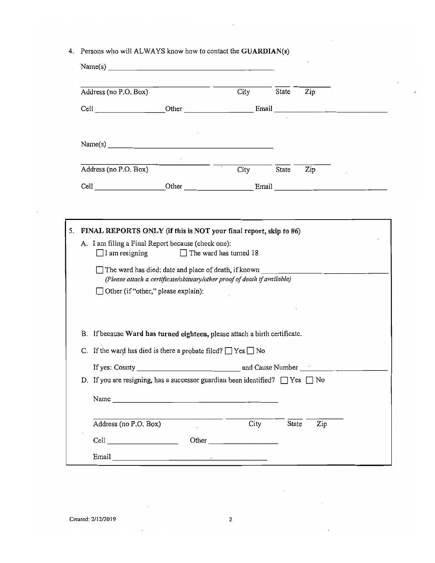|  |  |  |  | 4. Persons who will ALWAYS know how to contact the GUARDIAN(s) |
|--|--|--|--|----------------------------------------------------------------|
|--|--|--|--|----------------------------------------------------------------|

| Address (no P.O. Box)     |                                                                                                                                                                                                                               | City                          | State | Zip                                                |  |
|---------------------------|-------------------------------------------------------------------------------------------------------------------------------------------------------------------------------------------------------------------------------|-------------------------------|-------|----------------------------------------------------|--|
|                           | Cell Other Email                                                                                                                                                                                                              |                               |       | <u> 1980 - John Barn Barn, mars ar breis an t-</u> |  |
|                           | Name(s)                                                                                                                                                                                                                       |                               |       |                                                    |  |
| Address (no P.O. Box)     |                                                                                                                                                                                                                               | City                          | State | Zip                                                |  |
|                           | Cell Cell Cher Cher Email Email                                                                                                                                                                                               |                               |       |                                                    |  |
|                           |                                                                                                                                                                                                                               |                               |       |                                                    |  |
|                           | FINAL REPORTS ONLY (if this is NOT your final report, skip to #6)                                                                                                                                                             |                               |       |                                                    |  |
| $\Box$ I am resigning     | A. I am filing a Final Report because (check one):                                                                                                                                                                            | $\Box$ The ward has turned 18 |       |                                                    |  |
|                           | The ward has died: date and place of death, if known ____________________________<br>(Please attach a certificate/obituary/other proof of death if available)                                                                 |                               |       |                                                    |  |
|                           | Other (if "other," please explain):                                                                                                                                                                                           |                               |       |                                                    |  |
|                           | B. If because Ward has turned eighteen, please attach a birth certificate.                                                                                                                                                    |                               |       |                                                    |  |
|                           | C. If the ward has died is there a probate filed? $\Box$ Yes $\Box$ No                                                                                                                                                        |                               |       |                                                    |  |
|                           |                                                                                                                                                                                                                               |                               |       |                                                    |  |
|                           | D. If you are resigning, has a successor guardian been identified? $\Box$ Yes $\Box$ No                                                                                                                                       |                               |       |                                                    |  |
|                           |                                                                                                                                                                                                                               |                               |       |                                                    |  |
| Address (no P.O. Box)     |                                                                                                                                                                                                                               | City                          | State | Zip                                                |  |
| Cell <b>Communication</b> |                                                                                                                                                                                                                               |                               |       |                                                    |  |
|                           | Email and the contract of the contract of the contract of the contract of the contract of the contract of the contract of the contract of the contract of the contract of the contract of the contract of the contract of the |                               |       |                                                    |  |

 $\hat{\mathcal{A}}$ 

 $\sim$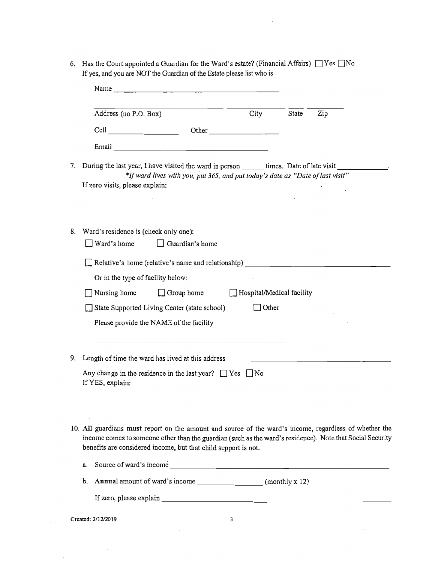|    |                                                                                                                                                                                                                                | Name                                                                                                                                                                                                                                                                                                 |                           |       |                                                                                                                                                                                                                     |
|----|--------------------------------------------------------------------------------------------------------------------------------------------------------------------------------------------------------------------------------|------------------------------------------------------------------------------------------------------------------------------------------------------------------------------------------------------------------------------------------------------------------------------------------------------|---------------------------|-------|---------------------------------------------------------------------------------------------------------------------------------------------------------------------------------------------------------------------|
|    | Address (no P.O. Box)                                                                                                                                                                                                          |                                                                                                                                                                                                                                                                                                      | City                      | State | Zip                                                                                                                                                                                                                 |
|    | Cell and the contract of the contract of the contract of the contract of the contract of the contract of the contract of the contract of the contract of the contract of the contract of the contract of the contract of the c |                                                                                                                                                                                                                                                                                                      | Other                     |       |                                                                                                                                                                                                                     |
|    |                                                                                                                                                                                                                                |                                                                                                                                                                                                                                                                                                      |                           |       |                                                                                                                                                                                                                     |
| 7. | If zero visits, please explain:                                                                                                                                                                                                | During the last year, I have visited the ward in person _______ times. Date of late visit _________<br>*If ward lives with you, put 365, and put today's date as "Date of last visit"                                                                                                                |                           |       |                                                                                                                                                                                                                     |
| 8. | Ward's residence is (check only one):<br>$\Box$ Ward's home                                                                                                                                                                    | Guardian's home                                                                                                                                                                                                                                                                                      |                           |       |                                                                                                                                                                                                                     |
|    |                                                                                                                                                                                                                                | Relative's home (relative's name and relationship) _____________________________                                                                                                                                                                                                                     |                           |       |                                                                                                                                                                                                                     |
|    | Or in the type of facility below:                                                                                                                                                                                              |                                                                                                                                                                                                                                                                                                      |                           |       |                                                                                                                                                                                                                     |
|    | $\Box$ Nursing home                                                                                                                                                                                                            | $\Box$ Group home                                                                                                                                                                                                                                                                                    | Hospital/Medical facility |       |                                                                                                                                                                                                                     |
|    |                                                                                                                                                                                                                                | State Supported Living Center (state school)                                                                                                                                                                                                                                                         | $\Box$ Other              |       |                                                                                                                                                                                                                     |
|    |                                                                                                                                                                                                                                | Please provide the NAME of the facility                                                                                                                                                                                                                                                              |                           |       |                                                                                                                                                                                                                     |
| 9. | If YES, explain:                                                                                                                                                                                                               | Length of time the ward has lived at this address the control of the control of the control of the control of the control of the control of the control of the control of the control of the control of the control of the con<br>Any change in the residence in the last year? $\Box$ Yes $\Box$ No |                           |       |                                                                                                                                                                                                                     |
|    |                                                                                                                                                                                                                                | benefits are considered income, but that child support is not.                                                                                                                                                                                                                                       |                           |       | 10. All guardians must report on the amount and source of the ward's income, regardless of whether the<br>income comes to someone other than the guardian (such as the ward's residence). Note that Social Security |

 $\hat{\mathcal{L}}$ 

l,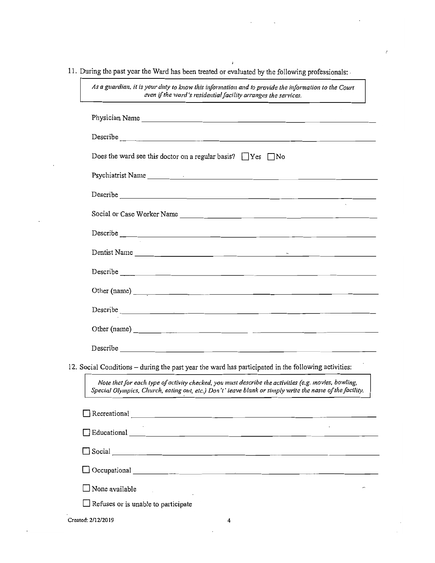11. During the past year the Ward has been treated or evaluated by the following professionals:

| Describe <u>and the second contract of the second contract of the second contract of the second contract of the second</u>                                                                                                           |
|--------------------------------------------------------------------------------------------------------------------------------------------------------------------------------------------------------------------------------------|
| Does the ward see this doctor on a regular basis? $\Box$ Yes $\Box$ No                                                                                                                                                               |
| Psychiatrist Name et al. and the contract of the contract of the contract of the contract of the contract of the contract of the contract of the contract of the contract of the contract of the contract of the contract of t       |
| Describe and the contract of the contract of the contract of the contract of the contract of the contract of the contract of the contract of the contract of the contract of the contract of the contract of the contract of t       |
|                                                                                                                                                                                                                                      |
|                                                                                                                                                                                                                                      |
|                                                                                                                                                                                                                                      |
|                                                                                                                                                                                                                                      |
|                                                                                                                                                                                                                                      |
| Describe <u>and the community of the community of the community of the community of the community of the community of the community of the community of the community of the community of the community of the community of the </u> |
|                                                                                                                                                                                                                                      |
|                                                                                                                                                                                                                                      |
| 12. Social Conditions – during the past year the ward has participated in the following activities:                                                                                                                                  |
| Note that for each type of activity checked, you must describe the activities (e.g. movies, bowling,<br>Special Olympics, Church, eating out, etc.) Don't' leave blank or simply write the name of the facility.                     |
| Recreational $\qquad \qquad$                                                                                                                                                                                                         |
|                                                                                                                                                                                                                                      |
|                                                                                                                                                                                                                                      |
| $\Box$ Occupational $\Box$                                                                                                                                                                                                           |
| None available                                                                                                                                                                                                                       |
| Refuses or is unable to participate                                                                                                                                                                                                  |
| Created: 2/12/2019<br>4                                                                                                                                                                                                              |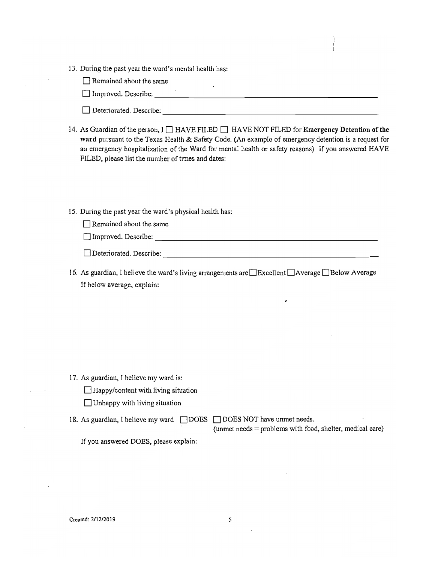13. During the past year the ward's mental health has:

 $\Box$  Remained about the same

Improved. Describe: \_\_\_\_\_\_\_\_\_\_\_\_\_\_\_\_\_\_\_\_\_\_\_\_\_\_

- ---------------------------  $\Box$  Deteriorated. Describe:
- 14. As Guardian of the person, I **HAVE FILED HAVE NOT FILED** for **Emergency Detention of the ward** pursuant to the Texas Health & Safety Code. (An example of emergency detention is a request for an emergency hospitalization of the Ward for mental health or safety reasons) If you answered HAVE FILED, please list the number of times and dates:
- 15. During the past year the ward's physical health has:
	- $\Box$  Remained about the same

| ╼┓▃<br>∃Improved. Describe: |  |
|-----------------------------|--|
|                             |  |

| Deteriorated. Describe: |  |  |
|-------------------------|--|--|

16. As guardian, I believe the ward's living arrangements are  $\Box$  Excellent  $\Box$  Average  $\Box$  Below Average If below average, explain:

- 17. As guardian, 1 believe my ward is:
	- $\Box$  Happy/content with living situation
	- $\Box$  Unhappy with living situation
- 18. As guardian, I believe my ward  $\Box$ DOES  $\Box$ DOES NOT have unmet needs.

(unmet needs = problems with food, shelter, medical care)

If you answered DOES, please explain: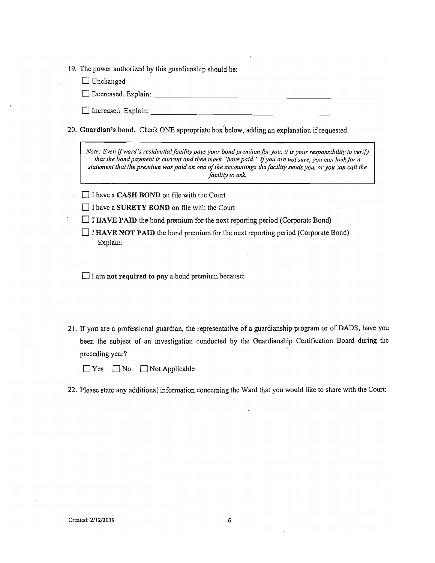|  |  | 19. The power authorized by this guardianship should be: |  |
|--|--|----------------------------------------------------------|--|
|  |  |                                                          |  |

 $\Box$  Unchanged

Decreased. Explain:

 $\Box$  Increased. Explain:

20. Guardian's bond. Check ONE appropriate box below, adding an explanation if requested.

*Note: Even if ward's residential facility pays your bond premium for you, it is your responsibility to verify that the bond payment is current and then mark "have paid." If you are not sure, you can look for a statement that the premium was paid on one oftile accountings the facility sends you, or you* call *cali the facility to ask.* 

 $\Box$  I have a CASH BOND on file with the Court

 $\Box$  I have a SURETY BOND on file with the Court

 $\Box$  I HAVE PAID the bond premium for the next reporting period (Corporate Bond)

 $\Box$  I HAVE NOT PAID the bond premium for the next reporting period (Corporate Bond) Explain:

 $\Box$  I am not required to pay a bond premium because:

21. If you are a professional guardian, the representative of a guardianship program or of DADS, have you been the subject of an investigation conducted by the Guardianship Certification Board during the preceding year?

 $\Box$  Yes  $\Box$  No  $\Box$  Not Applicable

<sup>22.</sup> Please state any additional infonnation concerning the Ward that you would like to share with the Court: